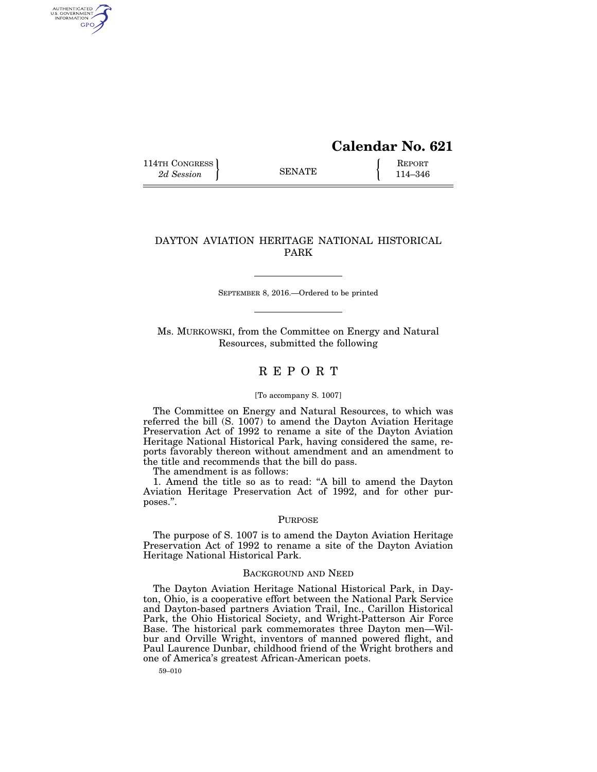# **Calendar No. 621**

114TH CONGRESS **REPORT** 2d Session **114–346** 

AUTHENTICATED<br>U.S. GOVERNMENT<br>INFORMATION GPO

## DAYTON AVIATION HERITAGE NATIONAL HISTORICAL PARK

SEPTEMBER 8, 2016.—Ordered to be printed

Ms. MURKOWSKI, from the Committee on Energy and Natural Resources, submitted the following

# R E P O R T

#### [To accompany S. 1007]

The Committee on Energy and Natural Resources, to which was referred the bill (S. 1007) to amend the Dayton Aviation Heritage Preservation Act of 1992 to rename a site of the Dayton Aviation Heritage National Historical Park, having considered the same, reports favorably thereon without amendment and an amendment to the title and recommends that the bill do pass.

The amendment is as follows:

1. Amend the title so as to read: ''A bill to amend the Dayton Aviation Heritage Preservation Act of 1992, and for other purposes.''.

#### PURPOSE

The purpose of S. 1007 is to amend the Dayton Aviation Heritage Preservation Act of 1992 to rename a site of the Dayton Aviation Heritage National Historical Park.

#### BACKGROUND AND NEED

The Dayton Aviation Heritage National Historical Park, in Dayton, Ohio, is a cooperative effort between the National Park Service and Dayton-based partners Aviation Trail, Inc., Carillon Historical Park, the Ohio Historical Society, and Wright-Patterson Air Force Base. The historical park commemorates three Dayton men—Wilbur and Orville Wright, inventors of manned powered flight, and Paul Laurence Dunbar, childhood friend of the Wright brothers and one of America's greatest African-American poets.

59–010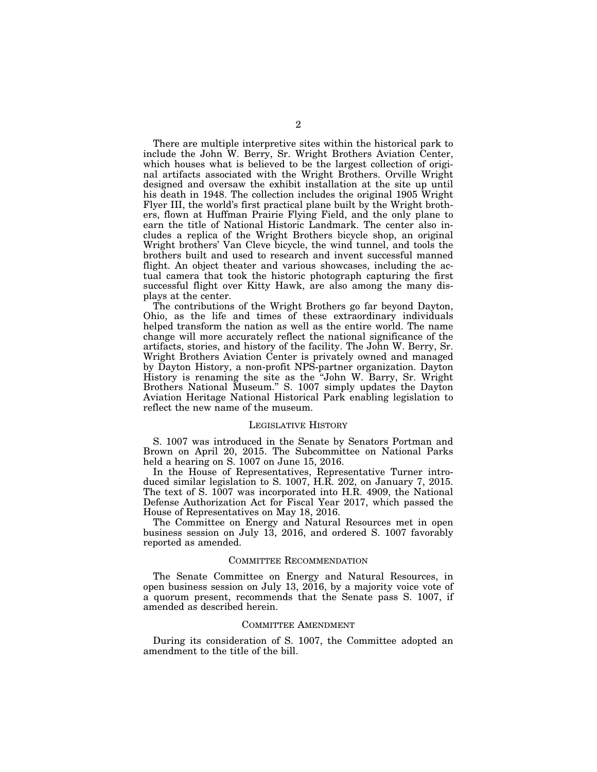There are multiple interpretive sites within the historical park to include the John W. Berry, Sr. Wright Brothers Aviation Center, which houses what is believed to be the largest collection of original artifacts associated with the Wright Brothers. Orville Wright designed and oversaw the exhibit installation at the site up until his death in 1948. The collection includes the original 1905 Wright Flyer III, the world's first practical plane built by the Wright brothers, flown at Huffman Prairie Flying Field, and the only plane to earn the title of National Historic Landmark. The center also includes a replica of the Wright Brothers bicycle shop, an original Wright brothers' Van Cleve bicycle, the wind tunnel, and tools the brothers built and used to research and invent successful manned flight. An object theater and various showcases, including the actual camera that took the historic photograph capturing the first successful flight over Kitty Hawk, are also among the many displays at the center.

The contributions of the Wright Brothers go far beyond Dayton, Ohio, as the life and times of these extraordinary individuals helped transform the nation as well as the entire world. The name change will more accurately reflect the national significance of the artifacts, stories, and history of the facility. The John W. Berry, Sr. Wright Brothers Aviation Center is privately owned and managed by Dayton History, a non-profit NPS-partner organization. Dayton History is renaming the site as the ''John W. Barry, Sr. Wright Brothers National Museum.'' S. 1007 simply updates the Dayton Aviation Heritage National Historical Park enabling legislation to reflect the new name of the museum.

#### LEGISLATIVE HISTORY

S. 1007 was introduced in the Senate by Senators Portman and Brown on April 20, 2015. The Subcommittee on National Parks held a hearing on S. 1007 on June 15, 2016.

In the House of Representatives, Representative Turner introduced similar legislation to S. 1007, H.R. 202, on January 7, 2015. The text of S. 1007 was incorporated into H.R. 4909, the National Defense Authorization Act for Fiscal Year 2017, which passed the House of Representatives on May 18, 2016.

The Committee on Energy and Natural Resources met in open business session on July 13, 2016, and ordered S. 1007 favorably reported as amended.

#### COMMITTEE RECOMMENDATION

The Senate Committee on Energy and Natural Resources, in open business session on July 13, 2016, by a majority voice vote of a quorum present, recommends that the Senate pass S. 1007, if amended as described herein.

#### COMMITTEE AMENDMENT

During its consideration of S. 1007, the Committee adopted an amendment to the title of the bill.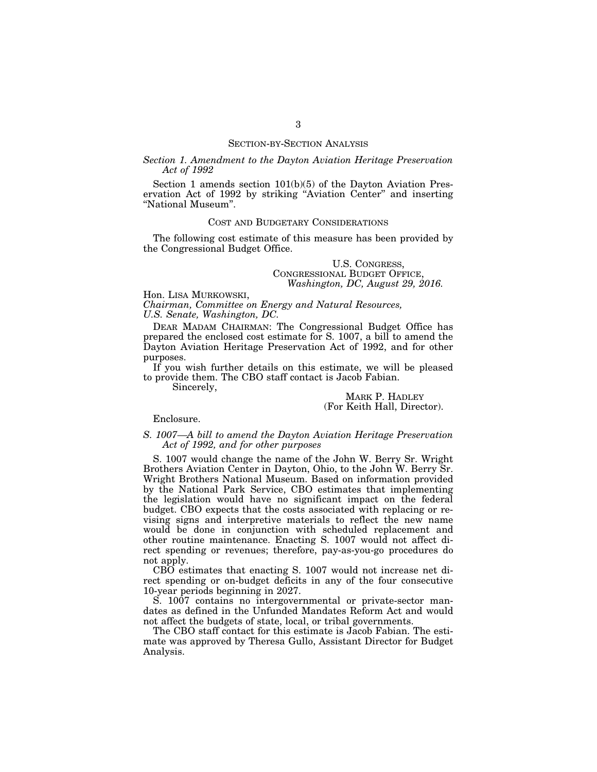### SECTION-BY-SECTION ANALYSIS

## *Section 1. Amendment to the Dayton Aviation Heritage Preservation Act of 1992*

Section 1 amends section  $101(b)(5)$  of the Dayton Aviation Preservation Act of 1992 by striking ''Aviation Center'' and inserting ''National Museum''.

## COST AND BUDGETARY CONSIDERATIONS

The following cost estimate of this measure has been provided by the Congressional Budget Office.

> U.S. CONGRESS, CONGRESSIONAL BUDGET OFFICE, *Washington, DC, August 29, 2016.*

Hon. LISA MURKOWSKI,

*Chairman, Committee on Energy and Natural Resources, U.S. Senate, Washington, DC.* 

DEAR MADAM CHAIRMAN: The Congressional Budget Office has prepared the enclosed cost estimate for S. 1007, a bill to amend the Dayton Aviation Heritage Preservation Act of 1992, and for other purposes.

If you wish further details on this estimate, we will be pleased to provide them. The CBO staff contact is Jacob Fabian.

Sincerely,

## MARK P. HADLEY (For Keith Hall, Director).

Enclosure.

## *S. 1007—A bill to amend the Dayton Aviation Heritage Preservation Act of 1992, and for other purposes*

S. 1007 would change the name of the John W. Berry Sr. Wright Brothers Aviation Center in Dayton, Ohio, to the John W. Berry Sr. Wright Brothers National Museum. Based on information provided by the National Park Service, CBO estimates that implementing the legislation would have no significant impact on the federal budget. CBO expects that the costs associated with replacing or revising signs and interpretive materials to reflect the new name would be done in conjunction with scheduled replacement and other routine maintenance. Enacting S. 1007 would not affect direct spending or revenues; therefore, pay-as-you-go procedures do not apply.

CBO estimates that enacting S. 1007 would not increase net direct spending or on-budget deficits in any of the four consecutive 10-year periods beginning in 2027.

S. 1007 contains no intergovernmental or private-sector mandates as defined in the Unfunded Mandates Reform Act and would not affect the budgets of state, local, or tribal governments.

The CBO staff contact for this estimate is Jacob Fabian. The estimate was approved by Theresa Gullo, Assistant Director for Budget Analysis.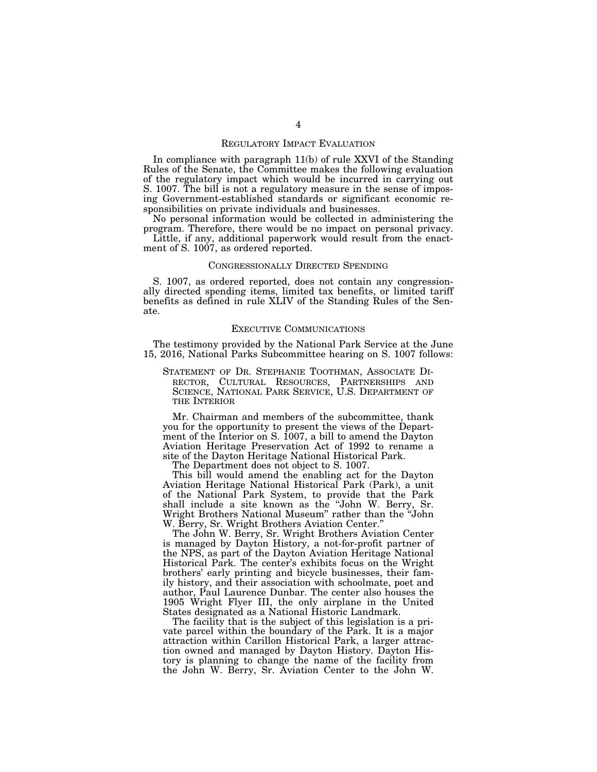#### REGULATORY IMPACT EVALUATION

In compliance with paragraph 11(b) of rule XXVI of the Standing Rules of the Senate, the Committee makes the following evaluation of the regulatory impact which would be incurred in carrying out S. 1007. The bill is not a regulatory measure in the sense of imposing Government-established standards or significant economic responsibilities on private individuals and businesses.

No personal information would be collected in administering the program. Therefore, there would be no impact on personal privacy.

Little, if any, additional paperwork would result from the enactment of S. 1007, as ordered reported.

### CONGRESSIONALLY DIRECTED SPENDING

S. 1007, as ordered reported, does not contain any congressionally directed spending items, limited tax benefits, or limited tariff benefits as defined in rule XLIV of the Standing Rules of the Senate.

## EXECUTIVE COMMUNICATIONS

The testimony provided by the National Park Service at the June 15, 2016, National Parks Subcommittee hearing on S. 1007 follows:

STATEMENT OF DR. STEPHANIE TOOTHMAN, ASSOCIATE DI-RECTOR, CULTURAL RESOURCES, PARTNERSHIPS AND SCIENCE, NATIONAL PARK SERVICE, U.S. DEPARTMENT OF THE INTERIOR

Mr. Chairman and members of the subcommittee, thank you for the opportunity to present the views of the Department of the Interior on S. 1007, a bill to amend the Dayton Aviation Heritage Preservation Act of 1992 to rename a site of the Dayton Heritage National Historical Park.

The Department does not object to S. 1007.

This bill would amend the enabling act for the Dayton Aviation Heritage National Historical Park (Park), a unit of the National Park System, to provide that the Park shall include a site known as the ''John W. Berry, Sr. Wright Brothers National Museum'' rather than the ''John W. Berry, Sr. Wright Brothers Aviation Center.''

The John W. Berry, Sr. Wright Brothers Aviation Center is managed by Dayton History, a not-for-profit partner of the NPS, as part of the Dayton Aviation Heritage National Historical Park. The center's exhibits focus on the Wright brothers' early printing and bicycle businesses, their family history, and their association with schoolmate, poet and author, Paul Laurence Dunbar. The center also houses the 1905 Wright Flyer III, the only airplane in the United States designated as a National Historic Landmark.

The facility that is the subject of this legislation is a private parcel within the boundary of the Park. It is a major attraction within Carillon Historical Park, a larger attraction owned and managed by Dayton History. Dayton History is planning to change the name of the facility from the John W. Berry, Sr. Aviation Center to the John W.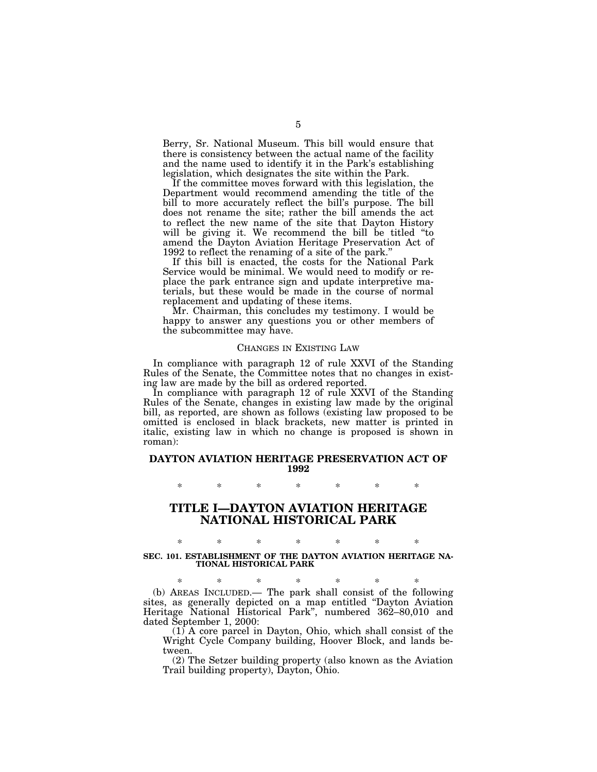Berry, Sr. National Museum. This bill would ensure that there is consistency between the actual name of the facility and the name used to identify it in the Park's establishing legislation, which designates the site within the Park.

If the committee moves forward with this legislation, the Department would recommend amending the title of the bill to more accurately reflect the bill's purpose. The bill does not rename the site; rather the bill amends the act to reflect the new name of the site that Dayton History will be giving it. We recommend the bill be titled "to amend the Dayton Aviation Heritage Preservation Act of 1992 to reflect the renaming of a site of the park.''

If this bill is enacted, the costs for the National Park Service would be minimal. We would need to modify or replace the park entrance sign and update interpretive materials, but these would be made in the course of normal replacement and updating of these items.

Mr. Chairman, this concludes my testimony. I would be happy to answer any questions you or other members of the subcommittee may have.

## CHANGES IN EXISTING LAW

In compliance with paragraph 12 of rule XXVI of the Standing Rules of the Senate, the Committee notes that no changes in existing law are made by the bill as ordered reported.

In compliance with paragraph 12 of rule XXVI of the Standing Rules of the Senate, changes in existing law made by the original bill, as reported, are shown as follows (existing law proposed to be omitted is enclosed in black brackets, new matter is printed in italic, existing law in which no change is proposed is shown in roman):

## **DAYTON AVIATION HERITAGE PRESERVATION ACT OF 1992**

\* \* \* \* \* \* \*

## **TITLE I—DAYTON AVIATION HERITAGE NATIONAL HISTORICAL PARK**

## \* \* \* \* \* \* \* **SEC. 101. ESTABLISHMENT OF THE DAYTON AVIATION HERITAGE NA-TIONAL HISTORICAL PARK**

\* \* \* \* \* \* \* (b) AREAS INCLUDED.— The park shall consist of the following sites, as generally depicted on a map entitled ''Dayton Aviation Heritage National Historical Park'', numbered 362–80,010 and dated September 1, 2000:

 $(1)$  A core parcel in Dayton, Ohio, which shall consist of the Wright Cycle Company building, Hoover Block, and lands between.

(2) The Setzer building property (also known as the Aviation Trail building property), Dayton, Ohio.